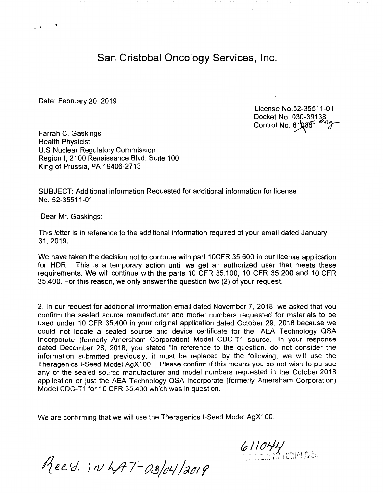San Cristobal Oncology Services, Inc.

Date: February 20, 2019

...

License No.52-35511-01 Docket No. 030-39138 Control No. 610861

Farrah C. Gaskings Health Physicist U.S Nuclear Regulatory Commission Region I, 2100 Renaissance Blvd, Suite 100 King of Prussia, PA 19406-2713

SUBJECT: Additional information Requested for additional information for license No. 52-35511-01

Dear Mr. Gaskings:

This letter is in reference to the additional information required of your email dated January 31,2019.

We have taken the decision not to continue with part 10CFR 35.600 in our license application for HOR. This is a temporary action until we get an authorized user that meets these requirements. We will continue with the parts 10 CFR 35.100, 10 CFR 35.200 and 10 CFR 35.400. For this reason, we only answer the question two (2) of your request.

2. In our request for additional information email dated November 7, 2018, we asked that you confirm the sealed source manufacturer and model numbers requested for materials to be used under 10 CFR 35.400 in your original application dated October 29, 2018 because we could not locate a sealed source and device certificate for the AEA Technology QSA Incorporate (formerly Amersham Corporation) Model CDC-T1 source. In your response dated December 28, 2018, you stated "In reference to the question, do not consider the information submitted previously, it must be replaced by the following; we will use the Theragenics I-Seed Model AgX100." Please confirm if this means you do not wish to pursue any of the sealed source manufacturer and model numbers requested in the October 2018 application or just the AEA Technology QSA Incorporate (formerly Amersham Corporation) Model CDC-T1 for 10 CFR 35.400 which was in question.

We are confirming that we will use the Theragenics I-Seed Model AgX100.

 $611044$ 

Recid. in LAT-03/04/2019